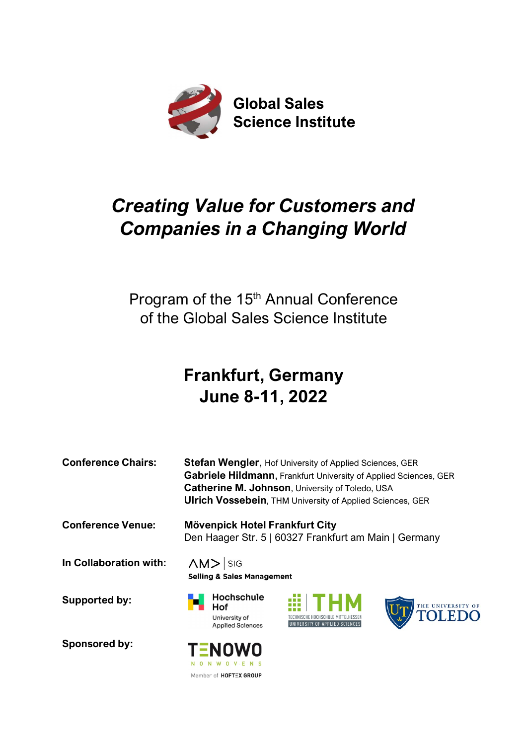

# Creating Value for Customers and Companies in a Changing World

Program of the 15<sup>th</sup> Annual Conference of the Global Sales Science Institute

# Frankfurt, Germany June 8-11, 2022

| <b>Conference Chairs:</b> | Stefan Wengler, Hof University of Applied Sciences, GER<br>Gabriele Hildmann, Frankfurt University of Applied Sciences, GER<br>Catherine M. Johnson, University of Toledo, USA<br><b>Ulrich Vossebein, THM University of Applied Sciences, GER</b><br>Mövenpick Hotel Frankfurt City<br>Den Haager Str. 5   60327 Frankfurt am Main   Germany |  |  |  |  |  |  |  |
|---------------------------|-----------------------------------------------------------------------------------------------------------------------------------------------------------------------------------------------------------------------------------------------------------------------------------------------------------------------------------------------|--|--|--|--|--|--|--|
| <b>Conference Venue:</b>  |                                                                                                                                                                                                                                                                                                                                               |  |  |  |  |  |  |  |
| In Collaboration with:    | $\triangle M$ Sig<br><b>Selling &amp; Sales Management</b>                                                                                                                                                                                                                                                                                    |  |  |  |  |  |  |  |
| <b>Supported by:</b>      | <b>Hochschule</b><br>æ<br>THE UNIVERSITY OF TOLEDO<br>Hof<br>University of<br>UNIVERSITY OF APPLIED SCIENCES<br><b>Applied Sciences</b>                                                                                                                                                                                                       |  |  |  |  |  |  |  |
| Sponsored by:             | <b>TENOWO</b><br>N U N W O V E N S                                                                                                                                                                                                                                                                                                            |  |  |  |  |  |  |  |

Member of HOFTEX GROUP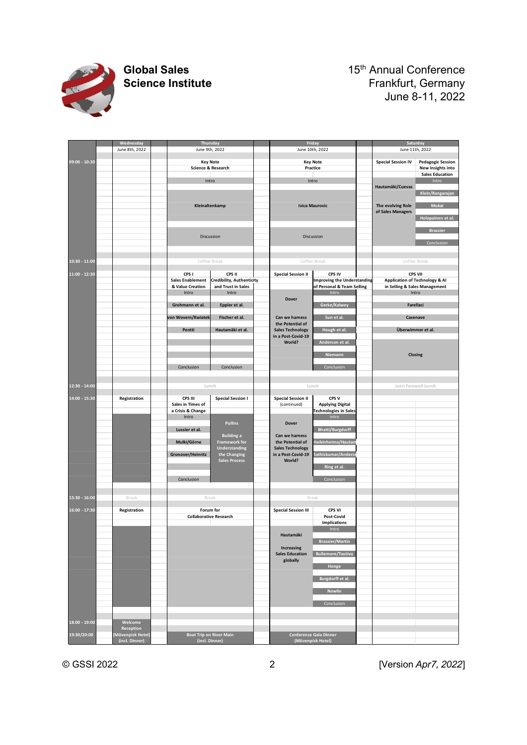

# Global Sales<br>
Science Institute<br>
Science Institute<br>
Trankfurt, Germany Frankfurt, Germany June 8-11, 2022

|                                  |                                                  | <b>Global Sales</b><br><b>Science Institute</b> |                                                      |                                                                 |                                                               |                                                                           |                                                                             |
|----------------------------------|--------------------------------------------------|-------------------------------------------------|------------------------------------------------------|-----------------------------------------------------------------|---------------------------------------------------------------|---------------------------------------------------------------------------|-----------------------------------------------------------------------------|
|                                  |                                                  |                                                 |                                                      |                                                                 |                                                               |                                                                           | 15 <sup>th</sup> Annual Conference<br>Frankfurt, Germany<br>June 8-11, 2022 |
|                                  |                                                  |                                                 |                                                      |                                                                 |                                                               |                                                                           |                                                                             |
|                                  | Wednesday<br>June 8th, 2022                      |                                                 | Thursday<br>June 9th, 2022                           |                                                                 |                                                               | Friday<br>June 10th, 2022                                                 | Saturday<br>June 11th, 2022                                                 |
| $09:00 - 10:30$                  |                                                  |                                                 | <b>Key Note</b><br>Science & Research                |                                                                 |                                                               | <b>Key Note</b><br>Practice                                               | <b>Pedagogic Session</b><br><b>Special Session IV</b><br>New Insights into  |
|                                  |                                                  |                                                 | Intro                                                |                                                                 |                                                               | Intro                                                                     | <b>Sales Education</b><br>Intro<br>Hautamäki/Cuevas<br>Klein/Rangarajan     |
|                                  |                                                  |                                                 | Kleinaltenkamp                                       |                                                                 |                                                               | <b>Ivica Maurovic</b>                                                     | The evolving Role<br>Mukai<br>of Sales Managers<br>Holopainen et al.        |
|                                  |                                                  |                                                 | Discussion                                           |                                                                 |                                                               | Discussion                                                                | <b>Brassier</b>                                                             |
|                                  |                                                  |                                                 |                                                      |                                                                 |                                                               |                                                                           | Conclusion                                                                  |
| $10:30 - 11:00$<br>11:00 - 12:30 |                                                  |                                                 | Coffee-Break<br>CPS I                                | CPS II                                                          | <b>Special Session II</b>                                     | Coffee-Break<br>CPS IV                                                    | Coffee-Break<br>CPS VII                                                     |
|                                  |                                                  |                                                 | <b>Sales Enablement</b><br>& Value Creation<br>Intro | <b>Credibility, Authenticity</b><br>and Trust in Sales<br>Intro |                                                               | <b>Improving the Understanding</b><br>of Personal & Team Selling<br>Intro | Application of Technology & Al<br>in Selling & Sales Management<br>Intro    |
|                                  |                                                  |                                                 | Grohmann et al.                                      | Eppler et al.                                                   | <b>Dover</b>                                                  | Gerke/Kalwey                                                              | Farellaci                                                                   |
|                                  |                                                  |                                                 | von Wovern/Kwiatek<br>Pentti                         | Fischer et al.<br>Hautamäki et al.                              | Can we harness<br>the Potential of<br><b>Sales Technology</b> | Sun et al.<br>Hough et al.                                                | Casenave<br>Überwimmer et al.                                               |
|                                  |                                                  |                                                 |                                                      |                                                                 | in a Post-Covid-19<br>World?                                  | Anderson et al.                                                           |                                                                             |
|                                  |                                                  |                                                 | Conclusion                                           | Conclusion                                                      |                                                               | Niemann<br>Conclusion                                                     | Closing                                                                     |
| $12:30 - 14:00$                  |                                                  |                                                 | Lunch                                                |                                                                 |                                                               | Lunch                                                                     | Joint Farewell-Lunch                                                        |
| 14:00 - 15:30                    | Registration                                     |                                                 | CPS III<br>Sales in Times of<br>a Crisis & Change    | <b>Special Session I</b>                                        | <b>Special Session II</b><br>(continued)                      | CPS V<br><b>Applying Digital</b><br><b>Technologies in Sales</b>          |                                                                             |
|                                  |                                                  |                                                 | Intro<br>Lussier et al.                              | Pullins                                                         | Dover                                                         | Intro<br><b>Bhatti/Burgdorff</b>                                          |                                                                             |
|                                  |                                                  |                                                 | Mulki/Görne                                          | <b>Building a</b><br><b>Framework for</b><br>Understanding      | Can we harness<br>the Potential of<br><b>Sales Technology</b> | <b>Teikinheimo/Hautam</b>                                                 |                                                                             |
|                                  |                                                  |                                                 | Gronover/Heinritz                                    | the Changing<br><b>Sales Process</b>                            | in a Post-Covid-19<br>World?                                  | Sathiskumar/Anderse<br>Ring et al.                                        |                                                                             |
|                                  |                                                  |                                                 | Conclusion                                           |                                                                 |                                                               | Conclusion                                                                |                                                                             |
|                                  | Break                                            |                                                 | Break                                                |                                                                 |                                                               | Break                                                                     |                                                                             |
|                                  | Registration                                     |                                                 | Forum for<br><b>Collaborative Research</b>           |                                                                 | <b>Special Session III</b>                                    | CPS VI<br><b>Post-Covid</b><br>Implications<br>Intro                      |                                                                             |
|                                  |                                                  |                                                 |                                                      |                                                                 | Hautamäki<br>Increasing                                       | <b>Brassier/Martin</b>                                                    |                                                                             |
|                                  |                                                  |                                                 |                                                      |                                                                 | <b>Sales Education</b><br>globally                            | Bullemore/Tautiva<br>Honge                                                |                                                                             |
|                                  |                                                  |                                                 |                                                      |                                                                 |                                                               | Burgdorff et al.                                                          |                                                                             |
|                                  |                                                  |                                                 |                                                      |                                                                 |                                                               | Nowlin<br>Conclusion                                                      |                                                                             |
| 18:00 - 19:00                    | Welcome                                          |                                                 |                                                      |                                                                 |                                                               |                                                                           |                                                                             |
| 19:30/20:00                      | Reception<br>(Mövenpick Hotel)<br>(incl. Dinner) |                                                 | <b>Boat Trip on River Main</b><br>(incl. Dinner)     |                                                                 |                                                               | Conference Gala Dinner<br>(Mövenpick Hotel)                               |                                                                             |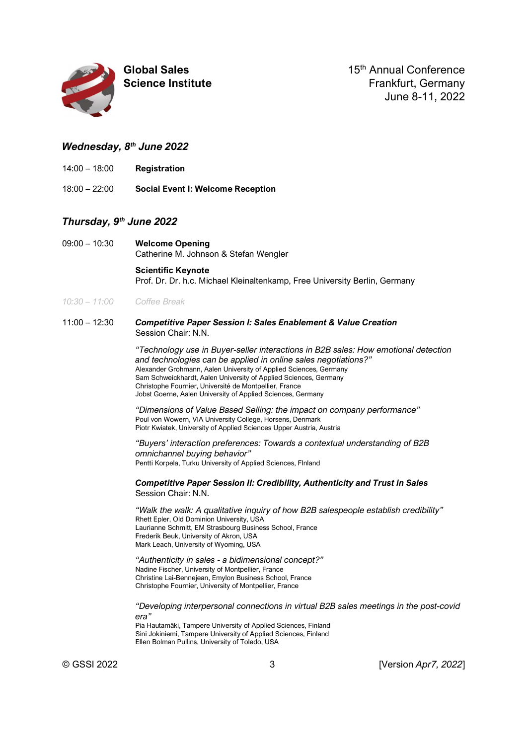

Global Sales 15th Annual Conference Science Institute **Frankfurt, Germany** June 8-11, 2022

# Wednesday, 8<sup>th</sup> June 2022

- 14:00 18:00 Registration
- 18:00 22:00 Social Event I: Welcome Reception

# Thursday, 9<sup>th</sup> June 2022

09:00 – 10:30 Welcome Opening Catherine M. Johnson & Stefan Wengler

> Scientific Keynote Prof. Dr. Dr. h.c. Michael Kleinaltenkamp, Free University Berlin, Germany

# 10:30 – 11:00 Coffee Break

### 11:00 – 12:30 Competitive Paper Session I: Sales Enablement & Value Creation Session Chair: N.N.

"Technology use in Buyer-seller interactions in B2B sales: How emotional detection and technologies can be applied in online sales negotiations?" Alexander Grohmann, Aalen University of Applied Sciences, Germany Sam Schweickhardt, Aalen University of Applied Sciences, Germany Christophe Fournier, Université de Montpellier, France Jobst Goerne, Aalen University of Applied Sciences, Germany

"Dimensions of Value Based Selling: the impact on company performance" Poul von Wowern, VIA University College, Horsens, Denmark Piotr Kwiatek, University of Applied Sciences Upper Austria, Austria

"Buyers' interaction preferences: Towards a contextual understanding of B2B omnichannel buying behavior" Pentti Korpela, Turku University of Applied Sciences, FInland

Competitive Paper Session II: Credibility, Authenticity and Trust in Sales Session Chair: N.N.

"Walk the walk: A qualitative inquiry of how B2B salespeople establish credibility" Rhett Epler, Old Dominion University, USA Laurianne Schmitt, EM Strasbourg Business School, France Frederik Beuk, University of Akron, USA Mark Leach, University of Wyoming, USA

"Authenticity in sales - a bidimensional concept?" Nadine Fischer, University of Montpellier, France Christine Lai-Bennejean, Emylon Business School, France Christophe Fournier, University of Montpellier, France

"Developing interpersonal connections in virtual B2B sales meetings in the post-covid era"

Pia Hautamäki, Tampere University of Applied Sciences, Finland Sini Jokiniemi, Tampere University of Applied Sciences, Finland Ellen Bolman Pullins, University of Toledo, USA

© GSSI 2022 3 [Version Apr7, 2022]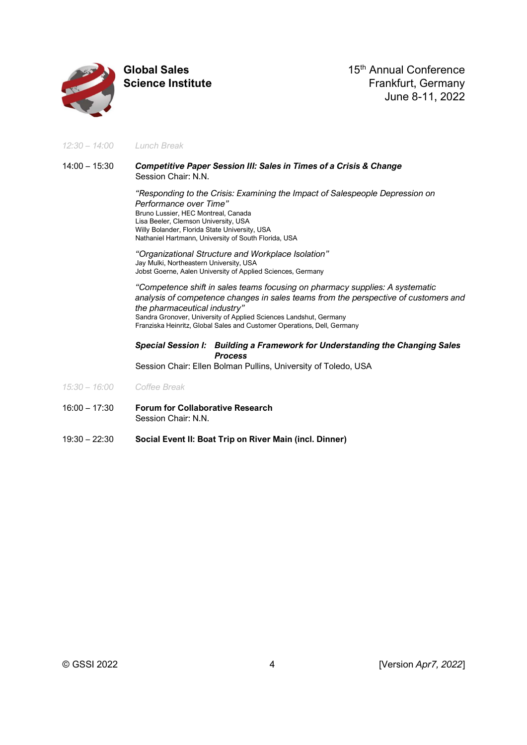

Global Sales 15th Annual Conference Science Institute **Science Institute Frankfurt, Germany** June 8-11, 2022

12:30 – 14:00 Lunch Break

# 14:00 – 15:30 Competitive Paper Session III: Sales in Times of a Crisis & Change Session Chair: N.N.

"Responding to the Crisis: Examining the Impact of Salespeople Depression on Performance over Time" Bruno Lussier, HEC Montreal, Canada Lisa Beeler, Clemson University, USA Willy Bolander, Florida State University, USA Nathaniel Hartmann, University of South Florida, USA

"Organizational Structure and Workplace Isolation" Jay Mulki, Northeastern University, USA Jobst Goerne, Aalen University of Applied Sciences, Germany

"Competence shift in sales teams focusing on pharmacy supplies: A systematic analysis of competence changes in sales teams from the perspective of customers and the pharmaceutical industry" Sandra Gronover, University of Applied Sciences Landshut, Germany Franziska Heinritz, Global Sales and Customer Operations, Dell, Germany

# Special Session I: Building a Framework for Understanding the Changing Sales Process

Session Chair: Ellen Bolman Pullins, University of Toledo, USA

- 15:30 16:00 Coffee Break
- 16:00 17:30 Forum for Collaborative Research Session Chair: N.N.
- 19:30 22:30 Social Event II: Boat Trip on River Main (incl. Dinner)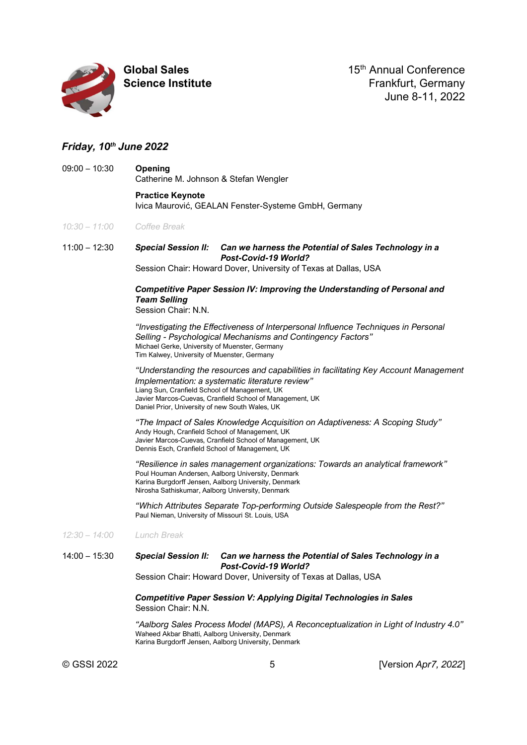

Global Sales 15<sup>th</sup> Annual Conference Science Institute **Science Institute Frankfurt, Germany** June 8-11, 2022

# Friday, 10th June 2022

09:00 – 10:30 Opening Catherine M. Johnson & Stefan Wengler

> Practice Keynote Ivica Maurović, GEALAN Fenster-Systeme GmbH, Germany

10:30 – 11:00 Coffee Break

11:00 – 12:30 Special Session II: Can we harness the Potential of Sales Technology in a Post-Covid-19 World?

Session Chair: Howard Dover, University of Texas at Dallas, USA

# Competitive Paper Session IV: Improving the Understanding of Personal and Team Selling

Session Chair: N.N.

"Investigating the Effectiveness of Interpersonal Influence Techniques in Personal Selling - Psychological Mechanisms and Contingency Factors" Michael Gerke, University of Muenster, Germany Tim Kalwey, University of Muenster, Germany

"Understanding the resources and capabilities in facilitating Key Account Management Implementation: a systematic literature review" Liang Sun, Cranfield School of Management, UK Javier Marcos-Cuevas, Cranfield School of Management, UK Daniel Prior, University of new South Wales, UK

"The Impact of Sales Knowledge Acquisition on Adaptiveness: A Scoping Study" Andy Hough, Cranfield School of Management, UK Javier Marcos-Cuevas, Cranfield School of Management, UK Dennis Esch, Cranfield School of Management, UK

"Resilience in sales management organizations: Towards an analytical framework" Poul Houman Andersen, Aalborg University, Denmark Karina Burgdorff Jensen, Aalborg University, Denmark Nirosha Sathiskumar, Aalborg University, Denmark

"Which Attributes Separate Top-performing Outside Salespeople from the Rest?" Paul Nieman, University of Missouri St. Louis, USA

12:30 – 14:00 Lunch Break

# 14:00 – 15:30 Special Session II: Can we harness the Potential of Sales Technology in a Post-Covid-19 World?

Session Chair: Howard Dover, University of Texas at Dallas, USA

# Competitive Paper Session V: Applying Digital Technologies in Sales Session Chair: N.N.

"Aalborg Sales Process Model (MAPS), A Reconceptualization in Light of Industry 4.0" Waheed Akbar Bhatti, Aalborg University, Denmark Karina Burgdorff Jensen, Aalborg University, Denmark

© GSSI 2022 5 [Version Apr7, 2022]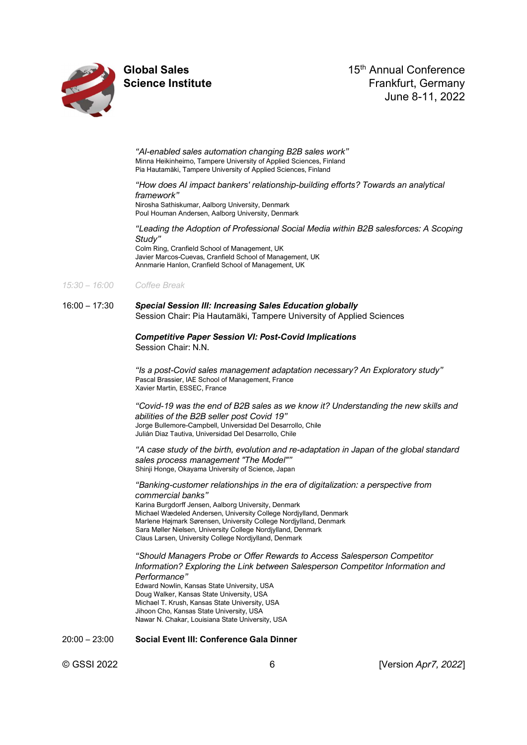

Global Sales 15<sup>th</sup> Annual Conference Science Institute **Science Institute Frankfurt, Germany** June 8-11, 2022

"AI-enabled sales automation changing B2B sales work" Minna Heikinheimo, Tampere University of Applied Sciences, Finland Pia Hautamäki, Tampere University of Applied Sciences, Finland

#### "How does AI impact bankers' relationship-building efforts? Towards an analytical framework" Nirosha Sathiskumar, Aalborg University, Denmark Poul Houman Andersen, Aalborg University, Denmark

"Leading the Adoption of Professional Social Media within B2B salesforces: A Scoping Study" Colm Ring, Cranfield School of Management, UK

Javier Marcos-Cuevas, Cranfield School of Management, UK Annmarie Hanlon, Cranfield School of Management, UK

### 15:30 – 16:00 Coffee Break

### 16:00 – 17:30 Special Session III: Increasing Sales Education globally Session Chair: Pia Hautamäki, Tampere University of Applied Sciences

### Competitive Paper Session VI: Post-Covid Implications Session Chair: N.N.

"Is a post-Covid sales management adaptation necessary? An Exploratory study" Pascal Brassier, IAE School of Management, France Xavier Martin, ESSEC, France

"Covid-19 was the end of B2B sales as we know it? Understanding the new skills and abilities of the B2B seller post Covid 19" Jorge Bullemore-Campbell, Universidad Del Desarrollo, Chile Julián Diaz Tautiva, Universidad Del Desarrollo, Chile

"A case study of the birth, evolution and re-adaptation in Japan of the global standard sales process management "The Model"" Shinji Honge, Okayama University of Science, Japan

"Banking-customer relationships in the era of digitalization: a perspective from commercial banks" Karina Burgdorff Jensen, Aalborg University, Denmark Michael Wædeled Andersen, University College Nordjylland, Denmark Marlene Højmark Sørensen, University College Nordjylland, Denmark

Sara Møller Nielsen, University College Nordjylland, Denmark Claus Larsen, University College Nordjylland, Denmark

"Should Managers Probe or Offer Rewards to Access Salesperson Competitor Information? Exploring the Link between Salesperson Competitor Information and Performance" Edward Nowlin, Kansas State University, USA

Doug Walker, Kansas State University, USA Michael T. Krush, Kansas State University, USA Jihoon Cho, Kansas State University, USA Nawar N. Chakar, Louisiana State University, USA

20:00 – 23:00 Social Event III: Conference Gala Dinner